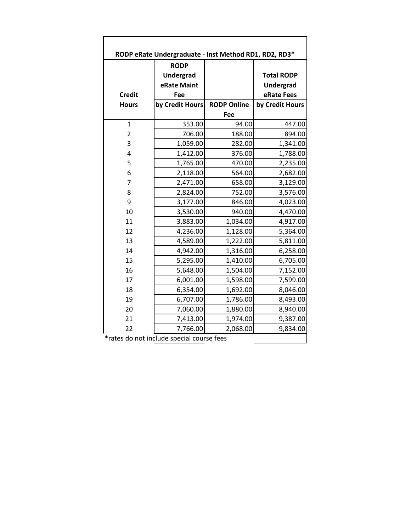| RODP eRate Undergraduate - Inst Method RD1, RD2, RD3* |                                         |                    |                                |  |
|-------------------------------------------------------|-----------------------------------------|--------------------|--------------------------------|--|
|                                                       | <b>RODP</b><br>Undergrad<br>eRate Maint |                    | <b>Total RODP</b><br>Undergrad |  |
| <b>Credit</b>                                         | Fee                                     |                    | eRate Fees                     |  |
| <b>Hours</b>                                          | by Credit Hours                         | <b>RODP Online</b> | by Credit Hours                |  |
|                                                       |                                         | Fee                |                                |  |
| $\overline{1}$                                        | 353.00                                  | 94.00              | 447.00                         |  |
| $\overline{2}$                                        | 706.00                                  | 188.00             | 894.00                         |  |
| 3                                                     | 1,059.00                                | 282.00             | 1,341.00                       |  |
| 4                                                     | 1,412.00                                | 376.00             | 1,788.00                       |  |
| 5                                                     | 1,765.00                                | 470.00             | 2,235.00                       |  |
| 6                                                     | 2,118.00                                | 564.00             | 2,682.00                       |  |
| 7                                                     | 2,471.00                                | 658.00             | 3,129.00                       |  |
| 8                                                     | 2,824.00                                | 752.00             | 3,576.00                       |  |
| 9                                                     | 3,177.00                                | 846.00             | 4,023.00                       |  |
| 10                                                    | 3,530.00                                | 940.00             | 4,470.00                       |  |
| 11                                                    | 3,883.00                                | 1,034.00           | 4,917.00                       |  |
| 12                                                    | 4,236.00                                | 1,128.00           | 5,364.00                       |  |
| 13                                                    | 4,589.00                                | 1,222.00           | 5,811.00                       |  |
| 14                                                    | 4,942.00                                | 1,316.00           | 6,258.00                       |  |
| 15                                                    | 5,295.00                                | 1,410.00           | 6,705.00                       |  |
| 16                                                    | 5,648.00                                | 1,504.00           | 7,152.00                       |  |
| 17                                                    | 6,001.00                                | 1,598.00           | 7,599.00                       |  |
| 18                                                    | 6,354.00                                | 1,692.00           | 8,046.00                       |  |
| 19                                                    | 6,707.00                                | 1,786.00           | 8,493.00                       |  |
| 20                                                    | 7,060.00                                | 1,880.00           | 8,940.00                       |  |
| 21                                                    | 7,413.00                                | 1,974.00           | 9,387.00                       |  |
| 22                                                    | 7,766.00                                | 2,068.00           | 9,834.00                       |  |
| *rates do not include special course fees             |                                         |                    |                                |  |